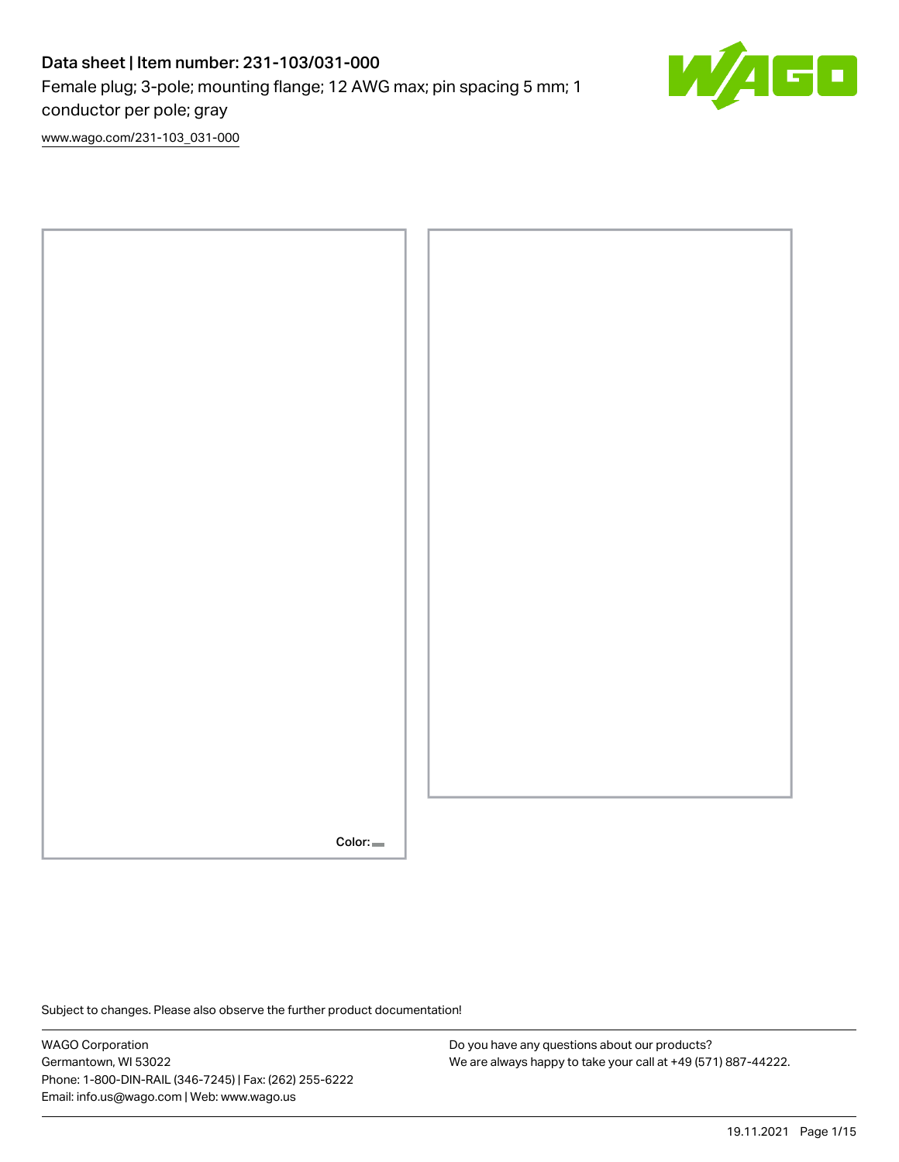# Data sheet | Item number: 231-103/031-000 Female plug; 3-pole; mounting flange; 12 AWG max; pin spacing 5 mm; 1 conductor per pole; gray

C

[www.wago.com/231-103\\_031-000](http://www.wago.com/231-103_031-000)



Subject to changes. Please also observe the further product documentation!

WAGO Corporation Germantown, WI 53022 Phone: 1-800-DIN-RAIL (346-7245) | Fax: (262) 255-6222 Email: info.us@wago.com | Web: www.wago.us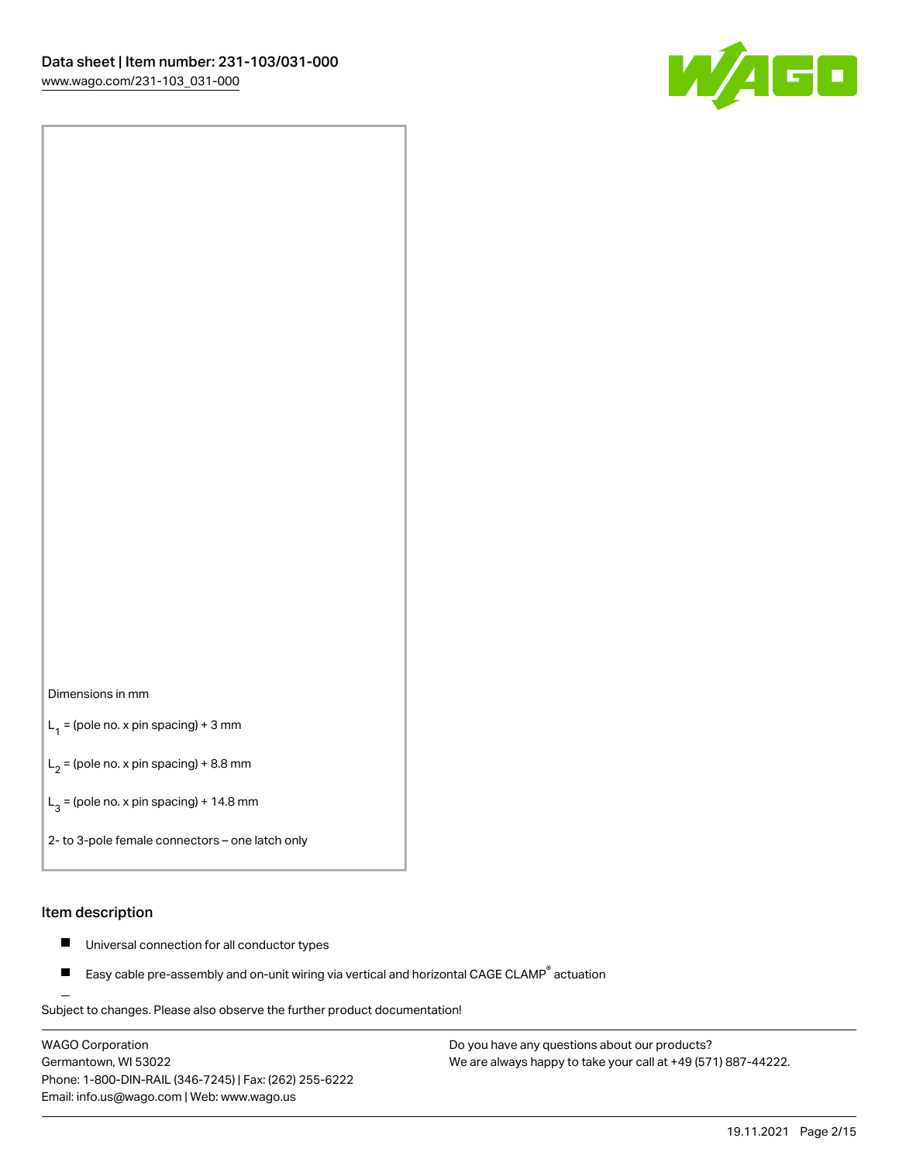

#### Dimensions in mm

 $L_1$  = (pole no. x pin spacing) + 3 mm

 $L_2$  = (pole no. x pin spacing) + 8.8 mm

 $L_3$  = (pole no. x pin spacing) + 14.8 mm

2- to 3-pole female connectors – one latch only

#### Item description

- Universal connection for all conductor types  $\blacksquare$
- Easy cable pre-assembly and on-unit wiring via vertical and horizontal CAGE CLAMP<sup>®</sup> actuation П

.<br>Subject to changes. Please also observe the further product documentation!

WAGO Corporation Germantown, WI 53022 Phone: 1-800-DIN-RAIL (346-7245) | Fax: (262) 255-6222 Email: info.us@wago.com | Web: www.wago.us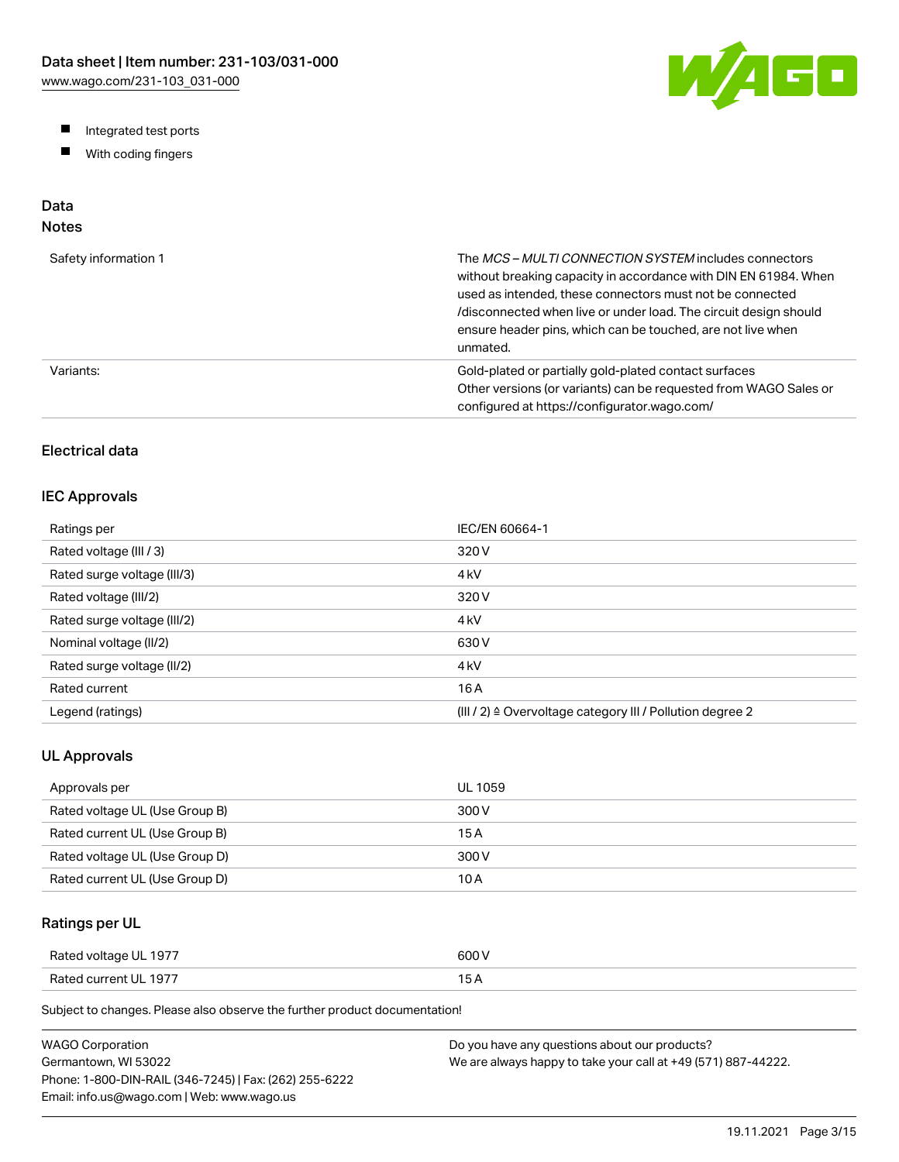W/AGO

- Integrated test ports
- $\blacksquare$ With coding fingers

# Data

# Notes

| Safety information 1 | The MCS-MULTI CONNECTION SYSTEM includes connectors<br>without breaking capacity in accordance with DIN EN 61984. When<br>used as intended, these connectors must not be connected<br>/disconnected when live or under load. The circuit design should<br>ensure header pins, which can be touched, are not live when<br>unmated. |
|----------------------|-----------------------------------------------------------------------------------------------------------------------------------------------------------------------------------------------------------------------------------------------------------------------------------------------------------------------------------|
| Variants:            | Gold-plated or partially gold-plated contact surfaces<br>Other versions (or variants) can be requested from WAGO Sales or<br>configured at https://configurator.wago.com/                                                                                                                                                         |

## Electrical data

### IEC Approvals

| Ratings per                 | IEC/EN 60664-1                                                        |
|-----------------------------|-----------------------------------------------------------------------|
| Rated voltage (III / 3)     | 320 V                                                                 |
| Rated surge voltage (III/3) | 4 <sub>kV</sub>                                                       |
| Rated voltage (III/2)       | 320 V                                                                 |
| Rated surge voltage (III/2) | 4 <sub>k</sub> V                                                      |
| Nominal voltage (II/2)      | 630 V                                                                 |
| Rated surge voltage (II/2)  | 4 <sub>k</sub> V                                                      |
| Rated current               | 16 A                                                                  |
| Legend (ratings)            | $(III / 2)$ $\triangle$ Overvoltage category III / Pollution degree 2 |

### UL Approvals

| Approvals per                  | <b>UL 1059</b> |
|--------------------------------|----------------|
| Rated voltage UL (Use Group B) | 300 V          |
| Rated current UL (Use Group B) | 15 A           |
| Rated voltage UL (Use Group D) | 300 V          |
| Rated current UL (Use Group D) | 10 A           |

## Ratings per UL

| Rated voltage UL 1977 | 600 V  |
|-----------------------|--------|
| Rated current UL 1977 | $\sim$ |

Subject to changes. Please also observe the further product documentation!

| WAGO Corporation                                       | Do you have any questions about our products?                 |
|--------------------------------------------------------|---------------------------------------------------------------|
| Germantown. WI 53022                                   | We are always happy to take your call at +49 (571) 887-44222. |
| Phone: 1-800-DIN-RAIL (346-7245)   Fax: (262) 255-6222 |                                                               |
| Email: info.us@wago.com   Web: www.wago.us             |                                                               |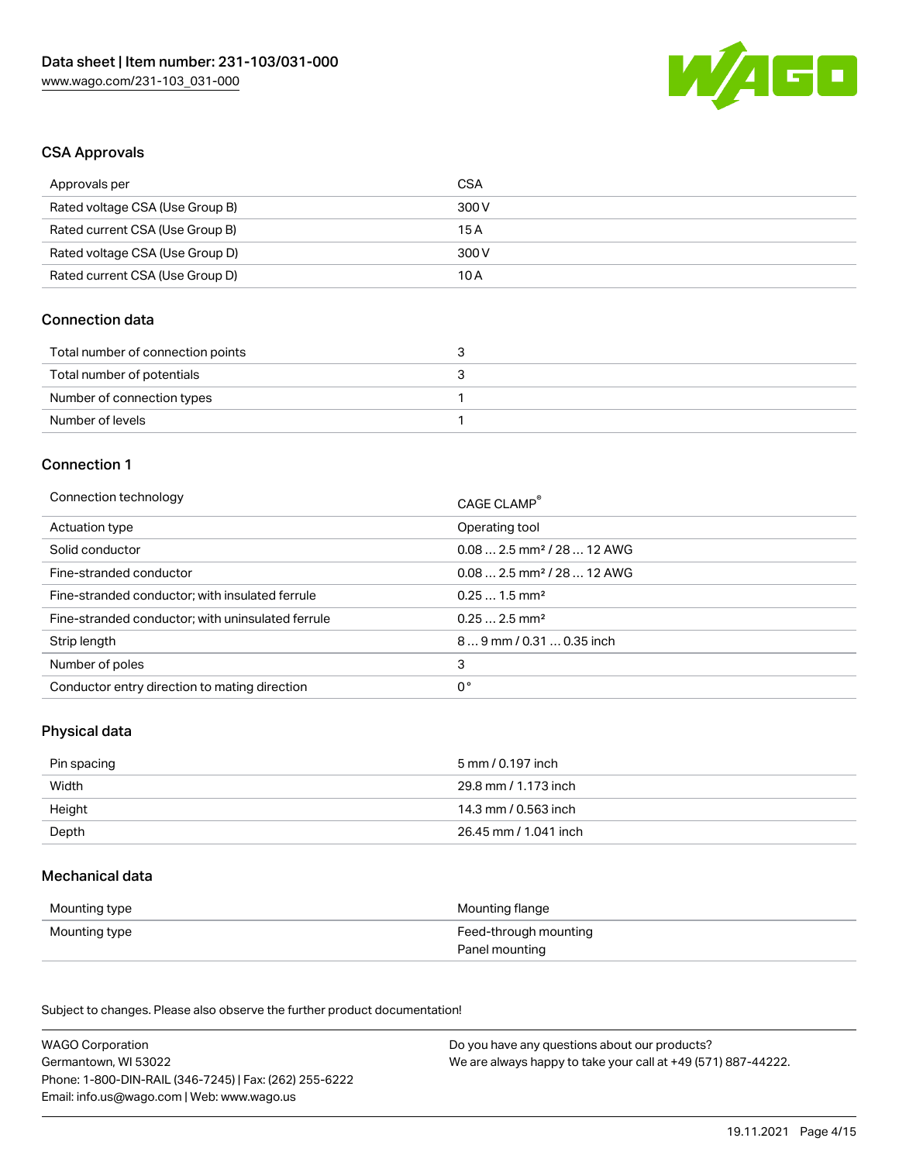

#### CSA Approvals

| Approvals per                   | CSA   |
|---------------------------------|-------|
| Rated voltage CSA (Use Group B) | 300 V |
| Rated current CSA (Use Group B) | 15 A  |
| Rated voltage CSA (Use Group D) | 300 V |
| Rated current CSA (Use Group D) | 10 A  |

### Connection data

| Total number of connection points |  |
|-----------------------------------|--|
| Total number of potentials        |  |
| Number of connection types        |  |
| Number of levels                  |  |

#### Connection 1

| Connection technology                             | CAGE CLAMP®                            |
|---------------------------------------------------|----------------------------------------|
| Actuation type                                    | Operating tool                         |
| Solid conductor                                   | $0.082.5$ mm <sup>2</sup> / 28  12 AWG |
| Fine-stranded conductor                           | $0.082.5$ mm <sup>2</sup> / 28  12 AWG |
| Fine-stranded conductor; with insulated ferrule   | $0.251.5$ mm <sup>2</sup>              |
| Fine-stranded conductor; with uninsulated ferrule | $0.252.5$ mm <sup>2</sup>              |
| Strip length                                      | 89 mm / 0.31  0.35 inch                |
| Number of poles                                   | 3                                      |
| Conductor entry direction to mating direction     | 0°                                     |

## Physical data

| Pin spacing | 5 mm / 0.197 inch     |
|-------------|-----------------------|
| Width       | 29.8 mm / 1.173 inch  |
| Height      | 14.3 mm / 0.563 inch  |
| Depth       | 26.45 mm / 1.041 inch |

#### Mechanical data

| Mounting type | Mounting flange       |
|---------------|-----------------------|
| Mounting type | Feed-through mounting |
|               | Panel mounting        |

Subject to changes. Please also observe the further product documentation!

| <b>WAGO Corporation</b>                                | Do you have any questions about our products?                 |
|--------------------------------------------------------|---------------------------------------------------------------|
| Germantown, WI 53022                                   | We are always happy to take your call at +49 (571) 887-44222. |
| Phone: 1-800-DIN-RAIL (346-7245)   Fax: (262) 255-6222 |                                                               |
| Email: info.us@wago.com   Web: www.wago.us             |                                                               |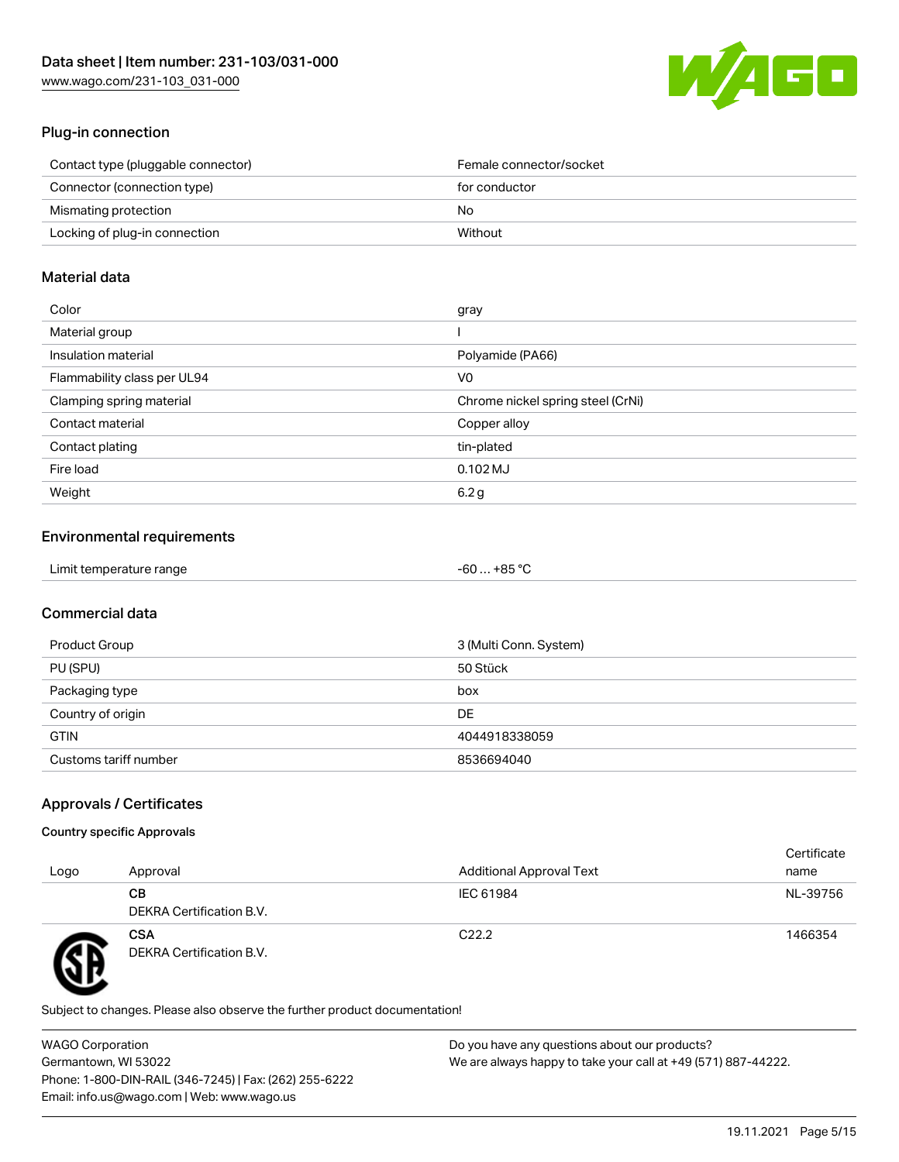

## Plug-in connection

| Contact type (pluggable connector) | Female connector/socket |
|------------------------------------|-------------------------|
| Connector (connection type)        | for conductor           |
| Mismating protection               | No.                     |
| Locking of plug-in connection      | Without                 |
|                                    |                         |

#### Material data

| Color                       | gray                              |
|-----------------------------|-----------------------------------|
| Material group              |                                   |
| Insulation material         | Polyamide (PA66)                  |
| Flammability class per UL94 | V <sub>0</sub>                    |
| Clamping spring material    | Chrome nickel spring steel (CrNi) |
| Contact material            | Copper alloy                      |
| Contact plating             | tin-plated                        |
| Fire load                   | $0.102$ MJ                        |
| Weight                      | 6.2 <sub>g</sub>                  |

## Environmental requirements

| Limit temperature range<br>$\blacksquare$ . The contract of the contract of the contract of the contract of the contract of the contract of the contract of the contract of the contract of the contract of the contract of the contract of the contract of the | . +85 °Ր<br>-60 |
|-----------------------------------------------------------------------------------------------------------------------------------------------------------------------------------------------------------------------------------------------------------------|-----------------|
|-----------------------------------------------------------------------------------------------------------------------------------------------------------------------------------------------------------------------------------------------------------------|-----------------|

## Commercial data

| Product Group         | 3 (Multi Conn. System) |
|-----------------------|------------------------|
| PU (SPU)              | 50 Stück               |
| Packaging type        | box                    |
| Country of origin     | DE                     |
| <b>GTIN</b>           | 4044918338059          |
| Customs tariff number | 8536694040             |

## Approvals / Certificates

#### Country specific Approvals

| Logo | Approval                               | <b>Additional Approval Text</b> | Certificate<br>name |
|------|----------------------------------------|---------------------------------|---------------------|
|      | CВ<br>DEKRA Certification B.V.         | IEC 61984                       | NL-39756            |
| Ð    | <b>CSA</b><br>DEKRA Certification B.V. | C <sub>22.2</sub>               | 1466354             |

Subject to changes. Please also observe the further product documentation!

WAGO Corporation Germantown, WI 53022 Phone: 1-800-DIN-RAIL (346-7245) | Fax: (262) 255-6222 Email: info.us@wago.com | Web: www.wago.us Do you have any questions about our products? We are always happy to take your call at +49 (571) 887-44222.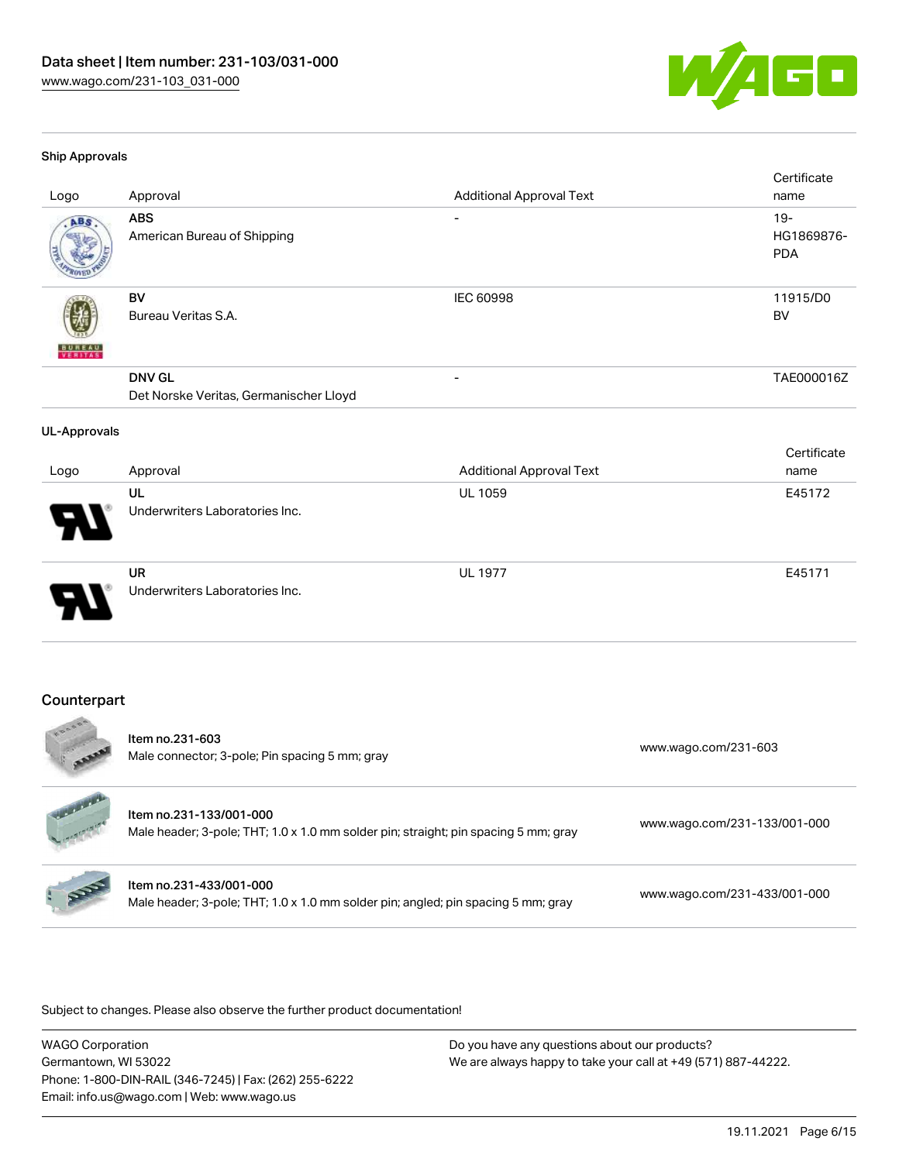

#### Ship Approvals

| Logo                | Approval                                                | <b>Additional Approval Text</b> | Certificate<br>name                |
|---------------------|---------------------------------------------------------|---------------------------------|------------------------------------|
| ABS                 | <b>ABS</b><br>American Bureau of Shipping               | $\qquad \qquad \blacksquare$    | $19 -$<br>HG1869876-<br><b>PDA</b> |
|                     | <b>BV</b><br>Bureau Veritas S.A.                        | <b>IEC 60998</b>                | 11915/D0<br><b>BV</b>              |
|                     | <b>DNV GL</b><br>Det Norske Veritas, Germanischer Lloyd |                                 | TAE000016Z                         |
| <b>UL-Approvals</b> |                                                         |                                 |                                    |
| Logo                | Approval                                                | <b>Additional Approval Text</b> | Certificate<br>name                |
|                     | UL<br>Underwriters Laboratories Inc.                    | UL 1059                         | E45172                             |
|                     | <b>UR</b><br>Underwriters Laboratories Inc.             | <b>UL 1977</b>                  | E45171                             |
|                     |                                                         |                                 |                                    |

#### Counterpart

| ESOOR              | Item no.231-603<br>Male connector; 3-pole; Pin spacing 5 mm; gray                                              | www.wago.com/231-603         |
|--------------------|----------------------------------------------------------------------------------------------------------------|------------------------------|
| darkatan ing diseb | Item no.231-133/001-000<br>Male header; 3-pole; THT; 1.0 x 1.0 mm solder pin; straight; pin spacing 5 mm; gray | www.wago.com/231-133/001-000 |
| Reg                | Item no.231-433/001-000<br>Male header; 3-pole; THT; 1.0 x 1.0 mm solder pin; angled; pin spacing 5 mm; gray   | www.wago.com/231-433/001-000 |

Subject to changes. Please also observe the further product documentation!

WAGO Corporation Germantown, WI 53022 Phone: 1-800-DIN-RAIL (346-7245) | Fax: (262) 255-6222 Email: info.us@wago.com | Web: www.wago.us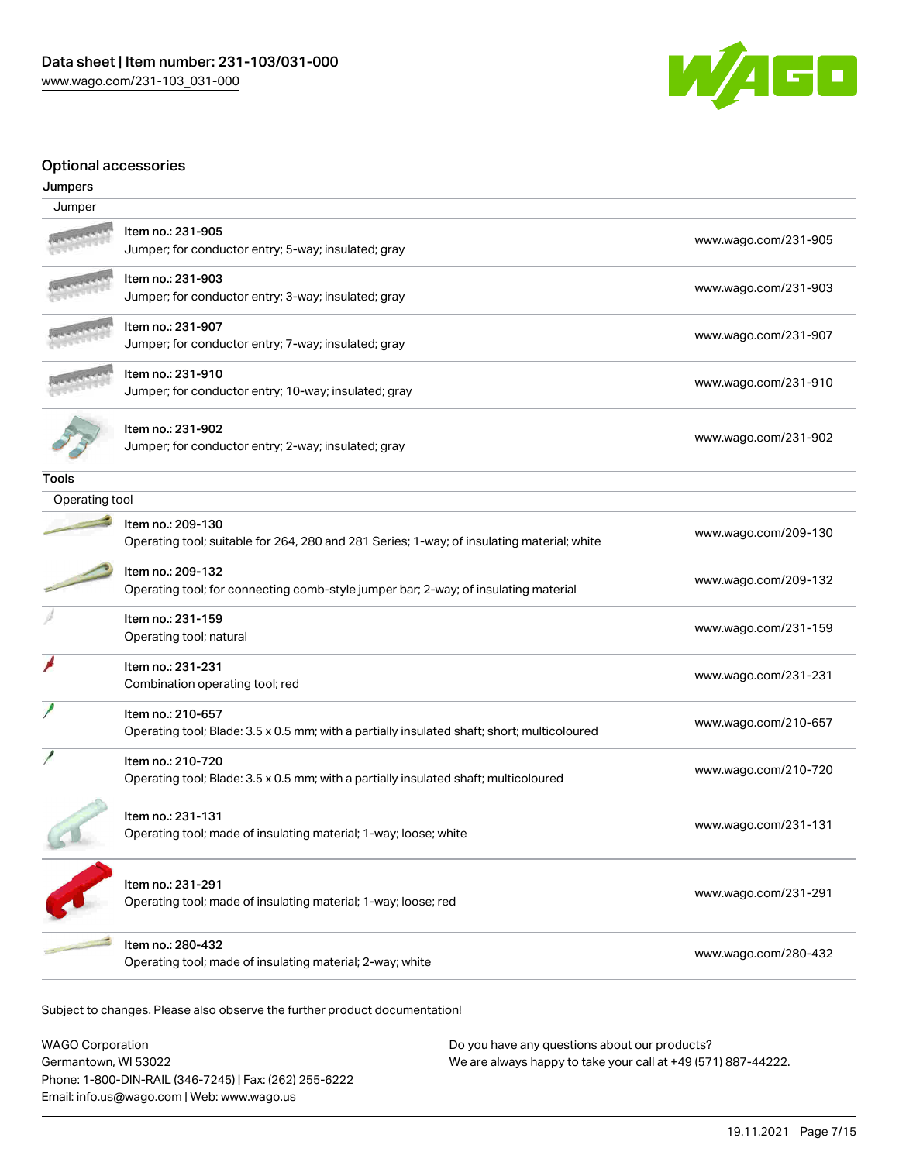

### Optional accessories

| Jumpers        |                                                                                                                  |                      |
|----------------|------------------------------------------------------------------------------------------------------------------|----------------------|
| Jumper         |                                                                                                                  |                      |
|                | Item no.: 231-905<br>Jumper; for conductor entry; 5-way; insulated; gray                                         | www.wago.com/231-905 |
|                | Item no.: 231-903<br>Jumper; for conductor entry; 3-way; insulated; gray                                         | www.wago.com/231-903 |
|                | Item no.: 231-907<br>Jumper; for conductor entry; 7-way; insulated; gray                                         | www.wago.com/231-907 |
|                | Item no.: 231-910<br>Jumper; for conductor entry; 10-way; insulated; gray                                        | www.wago.com/231-910 |
|                | Item no.: 231-902<br>Jumper; for conductor entry; 2-way; insulated; gray                                         | www.wago.com/231-902 |
| <b>Tools</b>   |                                                                                                                  |                      |
| Operating tool |                                                                                                                  |                      |
|                | Item no.: 209-130<br>Operating tool; suitable for 264, 280 and 281 Series; 1-way; of insulating material; white  | www.wago.com/209-130 |
|                | Item no.: 209-132<br>Operating tool; for connecting comb-style jumper bar; 2-way; of insulating material         | www.wago.com/209-132 |
|                | Item no.: 231-159<br>Operating tool; natural                                                                     | www.wago.com/231-159 |
|                | Item no.: 231-231<br>Combination operating tool; red                                                             | www.wago.com/231-231 |
|                | Item no.: 210-657<br>Operating tool; Blade: 3.5 x 0.5 mm; with a partially insulated shaft; short; multicoloured | www.wago.com/210-657 |
|                | Item no.: 210-720<br>Operating tool; Blade: 3.5 x 0.5 mm; with a partially insulated shaft; multicoloured        | www.wago.com/210-720 |
|                | Item no.: 231-131<br>Operating tool; made of insulating material; 1-way; loose; white                            | www.wago.com/231-131 |
|                | Item no.: 231-291<br>Operating tool; made of insulating material; 1-way; loose; red                              | www.wago.com/231-291 |
|                | Item no.: 280-432<br>Operating tool; made of insulating material; 2-way; white                                   | www.wago.com/280-432 |

Subject to changes. Please also observe the further product documentation!

WAGO Corporation Germantown, WI 53022 Phone: 1-800-DIN-RAIL (346-7245) | Fax: (262) 255-6222 Email: info.us@wago.com | Web: www.wago.us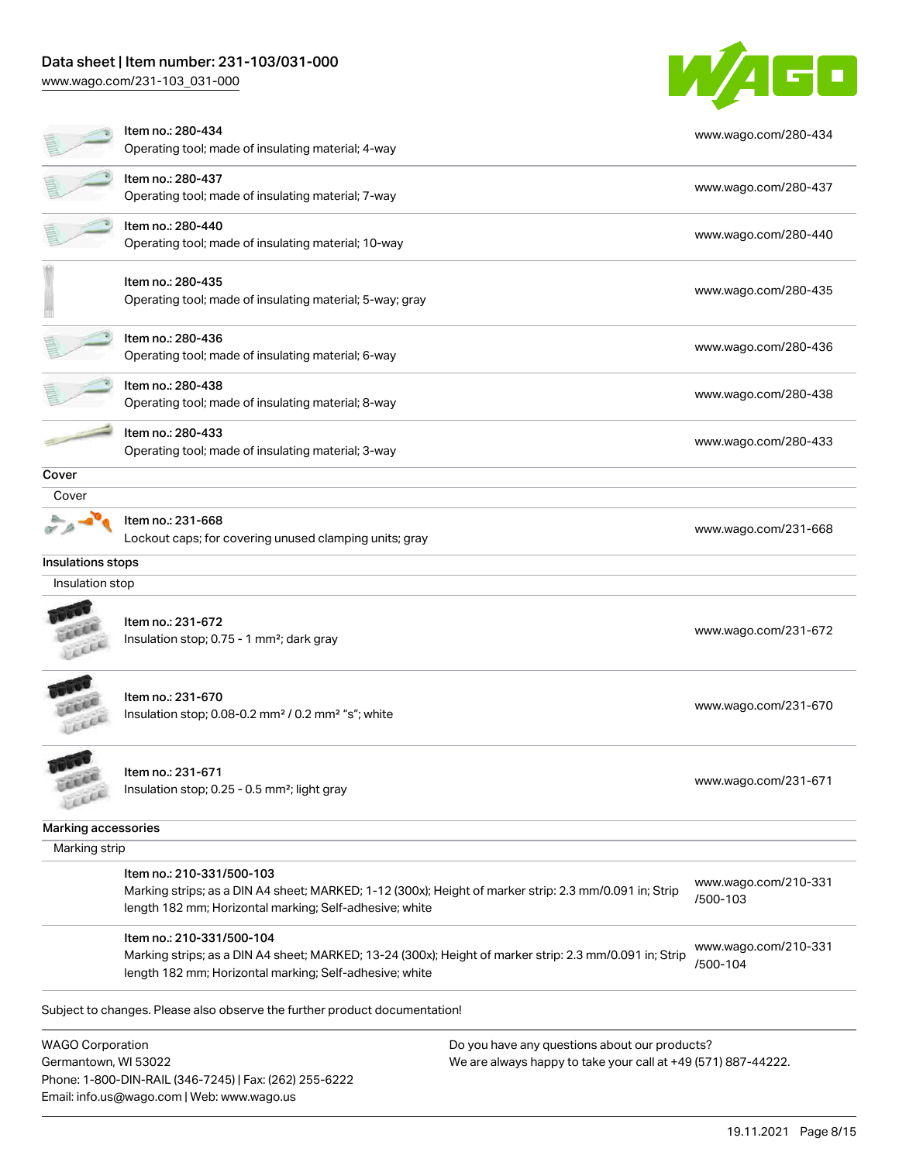## Data sheet | Item number: 231-103/031-000

Email: info.us@wago.com | Web: www.wago.us

[www.wago.com/231-103\\_031-000](http://www.wago.com/231-103_031-000)



|                                                 | Item no.: 280-434<br>Operating tool; made of insulating material; 4-way                                                                                                                         |                                                                                                                | www.wago.com/280-434             |
|-------------------------------------------------|-------------------------------------------------------------------------------------------------------------------------------------------------------------------------------------------------|----------------------------------------------------------------------------------------------------------------|----------------------------------|
|                                                 | Item no.: 280-437                                                                                                                                                                               | www.wago.com/280-437                                                                                           |                                  |
|                                                 | Operating tool; made of insulating material; 7-way                                                                                                                                              |                                                                                                                |                                  |
|                                                 | Item no.: 280-440<br>Operating tool; made of insulating material; 10-way                                                                                                                        |                                                                                                                | www.wago.com/280-440             |
|                                                 | Item no.: 280-435<br>Operating tool; made of insulating material; 5-way; gray                                                                                                                   |                                                                                                                | www.wago.com/280-435             |
|                                                 | Item no.: 280-436<br>Operating tool; made of insulating material; 6-way                                                                                                                         |                                                                                                                | www.wago.com/280-436             |
|                                                 | Item no.: 280-438<br>Operating tool; made of insulating material; 8-way                                                                                                                         |                                                                                                                | www.wago.com/280-438             |
|                                                 | Item no.: 280-433<br>Operating tool; made of insulating material; 3-way                                                                                                                         |                                                                                                                | www.wago.com/280-433             |
| Cover                                           |                                                                                                                                                                                                 |                                                                                                                |                                  |
| Cover                                           |                                                                                                                                                                                                 |                                                                                                                |                                  |
|                                                 | Item no.: 231-668                                                                                                                                                                               |                                                                                                                | www.wago.com/231-668             |
|                                                 | Lockout caps; for covering unused clamping units; gray                                                                                                                                          |                                                                                                                |                                  |
| Insulations stops                               |                                                                                                                                                                                                 |                                                                                                                |                                  |
| Insulation stop                                 |                                                                                                                                                                                                 |                                                                                                                |                                  |
|                                                 | Item no.: 231-672<br>Insulation stop; 0.75 - 1 mm <sup>2</sup> ; dark gray                                                                                                                      |                                                                                                                | www.wago.com/231-672             |
|                                                 | Item no.: 231-670<br>Insulation stop; 0.08-0.2 mm <sup>2</sup> / 0.2 mm <sup>2</sup> "s"; white                                                                                                 |                                                                                                                | www.wago.com/231-670             |
| AAAA<br>LEEE                                    | Item no.: 231-671<br>Insulation stop; 0.25 - 0.5 mm <sup>2</sup> ; light gray                                                                                                                   |                                                                                                                | www.wago.com/231-671             |
| Marking accessories                             |                                                                                                                                                                                                 |                                                                                                                |                                  |
| Marking strip                                   |                                                                                                                                                                                                 |                                                                                                                |                                  |
|                                                 | Item no.: 210-331/500-103<br>Marking strips; as a DIN A4 sheet; MARKED; 1-12 (300x); Height of marker strip: 2.3 mm/0.091 in; Strip<br>length 182 mm; Horizontal marking; Self-adhesive; white  |                                                                                                                | www.wago.com/210-331<br>/500-103 |
|                                                 | Item no.: 210-331/500-104<br>Marking strips; as a DIN A4 sheet; MARKED; 13-24 (300x); Height of marker strip: 2.3 mm/0.091 in; Strip<br>length 182 mm; Horizontal marking; Self-adhesive; white |                                                                                                                | www.wago.com/210-331<br>/500-104 |
|                                                 | Subject to changes. Please also observe the further product documentation!                                                                                                                      |                                                                                                                |                                  |
| <b>WAGO Corporation</b><br>Germantown, WI 53022 | Phone: 1-800-DIN-RAIL (346-7245)   Fax: (262) 255-6222                                                                                                                                          | Do you have any questions about our products?<br>We are always happy to take your call at +49 (571) 887-44222. |                                  |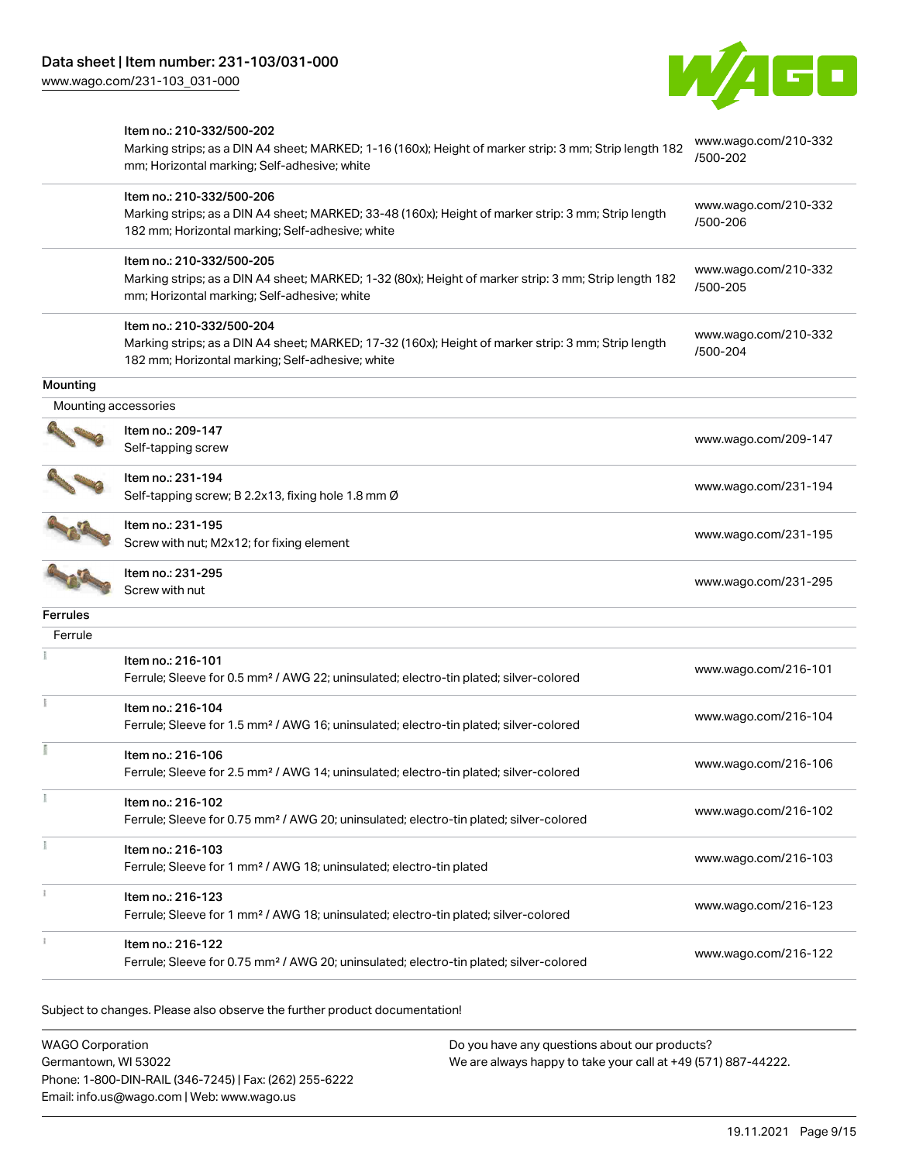

|                                  | Item no.: 210-332/500-202<br>Marking strips; as a DIN A4 sheet; MARKED; 1-16 (160x); Height of marker strip: 3 mm; Strip length 182<br>mm; Horizontal marking; Self-adhesive; white  | www.wago.com/210-332<br>/500-202 |
|----------------------------------|--------------------------------------------------------------------------------------------------------------------------------------------------------------------------------------|----------------------------------|
|                                  | Item no.: 210-332/500-206<br>Marking strips; as a DIN A4 sheet; MARKED; 33-48 (160x); Height of marker strip: 3 mm; Strip length<br>182 mm; Horizontal marking; Self-adhesive; white | www.wago.com/210-332<br>/500-206 |
|                                  | Item no.: 210-332/500-205<br>Marking strips; as a DIN A4 sheet; MARKED; 1-32 (80x); Height of marker strip: 3 mm; Strip length 182<br>mm; Horizontal marking; Self-adhesive; white   | www.wago.com/210-332<br>/500-205 |
|                                  | Item no.: 210-332/500-204<br>Marking strips; as a DIN A4 sheet; MARKED; 17-32 (160x); Height of marker strip: 3 mm; Strip length<br>182 mm; Horizontal marking; Self-adhesive; white | www.wago.com/210-332<br>/500-204 |
| Mounting<br>Mounting accessories |                                                                                                                                                                                      |                                  |
|                                  | Item no.: 209-147<br>Self-tapping screw                                                                                                                                              | www.wago.com/209-147             |
|                                  | Item no.: 231-194<br>Self-tapping screw; B 2.2x13, fixing hole 1.8 mm Ø                                                                                                              | www.wago.com/231-194             |
|                                  | Item no.: 231-195<br>Screw with nut; M2x12; for fixing element                                                                                                                       | www.wago.com/231-195             |
|                                  | Item no.: 231-295<br>Screw with nut                                                                                                                                                  | www.wago.com/231-295             |
| Ferrules                         |                                                                                                                                                                                      |                                  |
| Ferrule                          |                                                                                                                                                                                      |                                  |
|                                  | Item no.: 216-101<br>Ferrule; Sleeve for 0.5 mm <sup>2</sup> / AWG 22; uninsulated; electro-tin plated; silver-colored                                                               | www.wago.com/216-101             |
|                                  | Item no.: 216-104<br>Ferrule; Sleeve for 1.5 mm <sup>2</sup> / AWG 16; uninsulated; electro-tin plated; silver-colored                                                               | www.wago.com/216-104             |
|                                  | Item no.: 216-106<br>Ferrule; Sleeve for 2.5 mm <sup>2</sup> / AWG 14; uninsulated; electro-tin plated; silver-colored                                                               | www.wago.com/216-106             |
|                                  | Item no.: 216-102<br>Ferrule; Sleeve for 0.75 mm <sup>2</sup> / AWG 20; uninsulated; electro-tin plated; silver-colored                                                              | www.wago.com/216-102             |
|                                  | Item no.: 216-103<br>Ferrule; Sleeve for 1 mm <sup>2</sup> / AWG 18; uninsulated; electro-tin plated                                                                                 | www.wago.com/216-103             |
|                                  | Item no.: 216-123<br>Ferrule; Sleeve for 1 mm <sup>2</sup> / AWG 18; uninsulated; electro-tin plated; silver-colored                                                                 | www.wago.com/216-123             |
|                                  | Item no.: 216-122<br>Ferrule; Sleeve for 0.75 mm <sup>2</sup> / AWG 20; uninsulated; electro-tin plated; silver-colored                                                              | www.wago.com/216-122             |

Subject to changes. Please also observe the further product documentation!

WAGO Corporation Germantown, WI 53022 Phone: 1-800-DIN-RAIL (346-7245) | Fax: (262) 255-6222 Email: info.us@wago.com | Web: www.wago.us Do you have any questions about our products? We are always happy to take your call at +49 (571) 887-44222.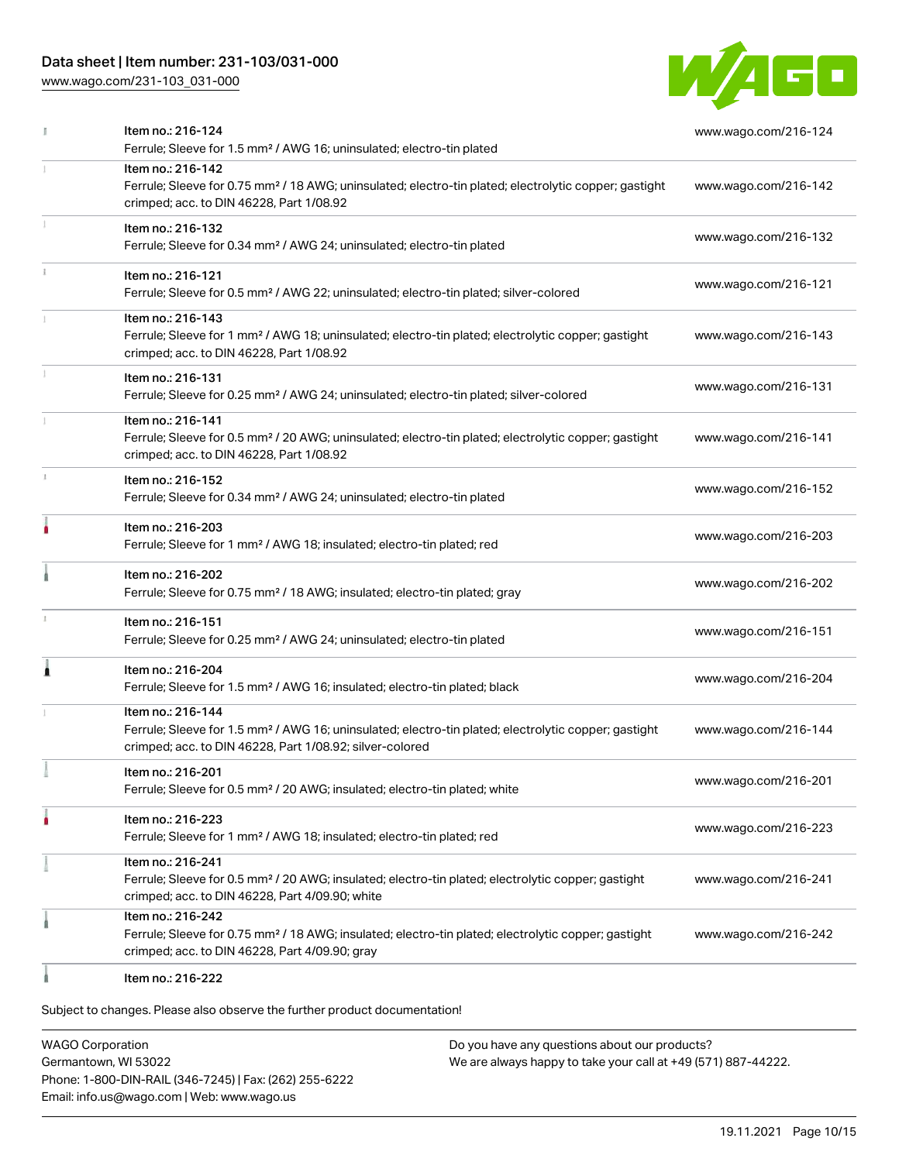## Data sheet | Item number: 231-103/031-000

[www.wago.com/231-103\\_031-000](http://www.wago.com/231-103_031-000)



|    | Item no.: 216-124<br>Ferrule; Sleeve for 1.5 mm <sup>2</sup> / AWG 16; uninsulated; electro-tin plated                                                                                            | www.wago.com/216-124 |
|----|---------------------------------------------------------------------------------------------------------------------------------------------------------------------------------------------------|----------------------|
|    | Item no.: 216-142<br>Ferrule; Sleeve for 0.75 mm <sup>2</sup> / 18 AWG; uninsulated; electro-tin plated; electrolytic copper; gastight<br>crimped; acc. to DIN 46228, Part 1/08.92                | www.wago.com/216-142 |
|    | Item no.: 216-132<br>Ferrule; Sleeve for 0.34 mm <sup>2</sup> / AWG 24; uninsulated; electro-tin plated                                                                                           | www.wago.com/216-132 |
|    | Item no.: 216-121<br>Ferrule; Sleeve for 0.5 mm <sup>2</sup> / AWG 22; uninsulated; electro-tin plated; silver-colored                                                                            | www.wago.com/216-121 |
|    | Item no.: 216-143<br>Ferrule; Sleeve for 1 mm <sup>2</sup> / AWG 18; uninsulated; electro-tin plated; electrolytic copper; gastight<br>crimped; acc. to DIN 46228, Part 1/08.92                   | www.wago.com/216-143 |
|    | Item no.: 216-131<br>Ferrule; Sleeve for 0.25 mm <sup>2</sup> / AWG 24; uninsulated; electro-tin plated; silver-colored                                                                           | www.wago.com/216-131 |
|    | Item no.: 216-141<br>Ferrule; Sleeve for 0.5 mm <sup>2</sup> / 20 AWG; uninsulated; electro-tin plated; electrolytic copper; gastight<br>crimped; acc. to DIN 46228, Part 1/08.92                 | www.wago.com/216-141 |
| ĵ, | Item no.: 216-152<br>Ferrule; Sleeve for 0.34 mm <sup>2</sup> / AWG 24; uninsulated; electro-tin plated                                                                                           | www.wago.com/216-152 |
| ٠  | Item no.: 216-203<br>Ferrule; Sleeve for 1 mm <sup>2</sup> / AWG 18; insulated; electro-tin plated; red                                                                                           | www.wago.com/216-203 |
|    | Item no.: 216-202<br>Ferrule; Sleeve for 0.75 mm <sup>2</sup> / 18 AWG; insulated; electro-tin plated; gray                                                                                       | www.wago.com/216-202 |
|    | Item no.: 216-151<br>Ferrule; Sleeve for 0.25 mm <sup>2</sup> / AWG 24; uninsulated; electro-tin plated                                                                                           | www.wago.com/216-151 |
| Â  | Item no.: 216-204<br>Ferrule; Sleeve for 1.5 mm <sup>2</sup> / AWG 16; insulated; electro-tin plated; black                                                                                       | www.wago.com/216-204 |
|    | Item no.: 216-144<br>Ferrule; Sleeve for 1.5 mm <sup>2</sup> / AWG 16; uninsulated; electro-tin plated; electrolytic copper; gastight<br>crimped; acc. to DIN 46228, Part 1/08.92; silver-colored | www.wago.com/216-144 |
|    | Item no.: 216-201<br>Ferrule; Sleeve for 0.5 mm <sup>2</sup> / 20 AWG; insulated; electro-tin plated; white                                                                                       | www.wago.com/216-201 |
|    | Item no.: 216-223<br>Ferrule; Sleeve for 1 mm <sup>2</sup> / AWG 18; insulated; electro-tin plated; red                                                                                           | www.wago.com/216-223 |
|    | Item no.: 216-241<br>Ferrule; Sleeve for 0.5 mm <sup>2</sup> / 20 AWG; insulated; electro-tin plated; electrolytic copper; gastight<br>crimped; acc. to DIN 46228, Part 4/09.90; white            | www.wago.com/216-241 |
|    | Item no.: 216-242<br>Ferrule; Sleeve for 0.75 mm <sup>2</sup> / 18 AWG; insulated; electro-tin plated; electrolytic copper; gastight<br>crimped; acc. to DIN 46228, Part 4/09.90; gray            | www.wago.com/216-242 |
|    | Item no.: 216-222                                                                                                                                                                                 |                      |

Subject to changes. Please also observe the further product documentation!

WAGO Corporation Germantown, WI 53022 Phone: 1-800-DIN-RAIL (346-7245) | Fax: (262) 255-6222 Email: info.us@wago.com | Web: www.wago.us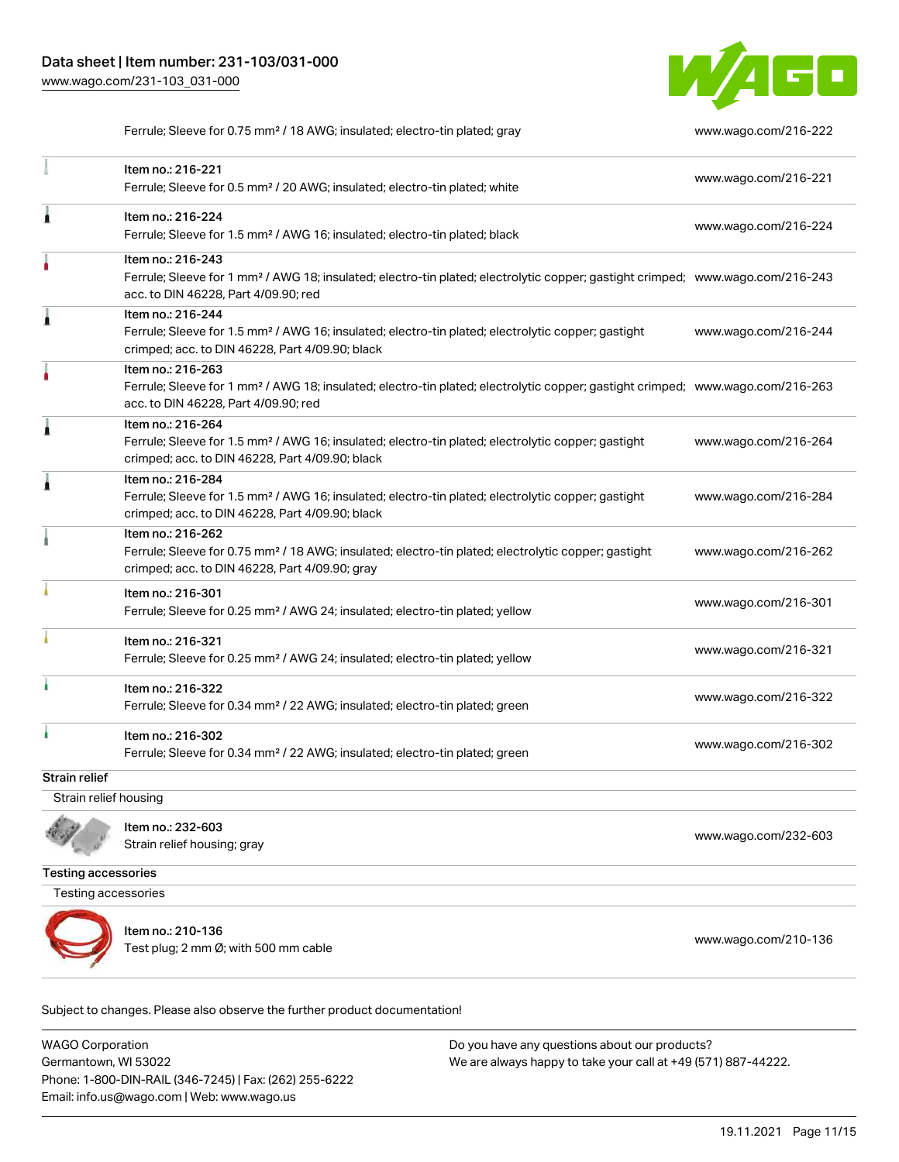

Ferrule; Sleeve for 0.75 mm² / 18 AWG; insulated; electro-tin plated; gray [www.wago.com/216-222](http://www.wago.com/216-222)

|                       | Item no.: 216-221<br>Ferrule; Sleeve for 0.5 mm <sup>2</sup> / 20 AWG; insulated; electro-tin plated; white                                                                                             | www.wago.com/216-221 |
|-----------------------|---------------------------------------------------------------------------------------------------------------------------------------------------------------------------------------------------------|----------------------|
| Â                     | Item no.: 216-224<br>Ferrule; Sleeve for 1.5 mm <sup>2</sup> / AWG 16; insulated; electro-tin plated; black                                                                                             | www.wago.com/216-224 |
|                       | Item no.: 216-243<br>Ferrule; Sleeve for 1 mm <sup>2</sup> / AWG 18; insulated; electro-tin plated; electrolytic copper; gastight crimped; www.wago.com/216-243<br>acc. to DIN 46228, Part 4/09.90; red |                      |
| 1                     | Item no.: 216-244<br>Ferrule; Sleeve for 1.5 mm <sup>2</sup> / AWG 16; insulated; electro-tin plated; electrolytic copper; gastight<br>crimped; acc. to DIN 46228, Part 4/09.90; black                  | www.wago.com/216-244 |
|                       | Item no.: 216-263<br>Ferrule; Sleeve for 1 mm <sup>2</sup> / AWG 18; insulated; electro-tin plated; electrolytic copper; gastight crimped; www.wago.com/216-263<br>acc. to DIN 46228, Part 4/09.90; red |                      |
| ٨                     | Item no.: 216-264<br>Ferrule; Sleeve for 1.5 mm <sup>2</sup> / AWG 16; insulated; electro-tin plated; electrolytic copper; gastight<br>crimped; acc. to DIN 46228, Part 4/09.90; black                  | www.wago.com/216-264 |
| Â                     | Item no.: 216-284<br>Ferrule; Sleeve for 1.5 mm <sup>2</sup> / AWG 16; insulated; electro-tin plated; electrolytic copper; gastight<br>crimped; acc. to DIN 46228, Part 4/09.90; black                  | www.wago.com/216-284 |
|                       | Item no.: 216-262<br>Ferrule; Sleeve for 0.75 mm <sup>2</sup> / 18 AWG; insulated; electro-tin plated; electrolytic copper; gastight<br>crimped; acc. to DIN 46228, Part 4/09.90; gray                  | www.wago.com/216-262 |
|                       | Item no.: 216-301<br>Ferrule; Sleeve for 0.25 mm <sup>2</sup> / AWG 24; insulated; electro-tin plated; yellow                                                                                           | www.wago.com/216-301 |
|                       | Item no.: 216-321<br>Ferrule; Sleeve for 0.25 mm <sup>2</sup> / AWG 24; insulated; electro-tin plated; yellow                                                                                           | www.wago.com/216-321 |
|                       | Item no.: 216-322<br>Ferrule; Sleeve for 0.34 mm <sup>2</sup> / 22 AWG; insulated; electro-tin plated; green                                                                                            | www.wago.com/216-322 |
| ۸                     | Item no.: 216-302<br>Ferrule; Sleeve for 0.34 mm <sup>2</sup> / 22 AWG; insulated; electro-tin plated; green                                                                                            | www.wago.com/216-302 |
| <b>Strain relief</b>  |                                                                                                                                                                                                         |                      |
| Strain relief housing |                                                                                                                                                                                                         |                      |



Item no.: 232-603 nomic...<br>Strain relief housing; gray [www.wago.com/232-603](http://www.wago.com/232-603)

Testing accessories

Testing accessories



Item no.: 210-136 Test plug; 2 nm Ø; with 500 nm cable [www.wago.com/210-136](http://www.wago.com/210-136)

Subject to changes. Please also observe the further product documentation!

WAGO Corporation Germantown, WI 53022 Phone: 1-800-DIN-RAIL (346-7245) | Fax: (262) 255-6222 Email: info.us@wago.com | Web: www.wago.us Do you have any questions about our products? We are always happy to take your call at +49 (571) 887-44222.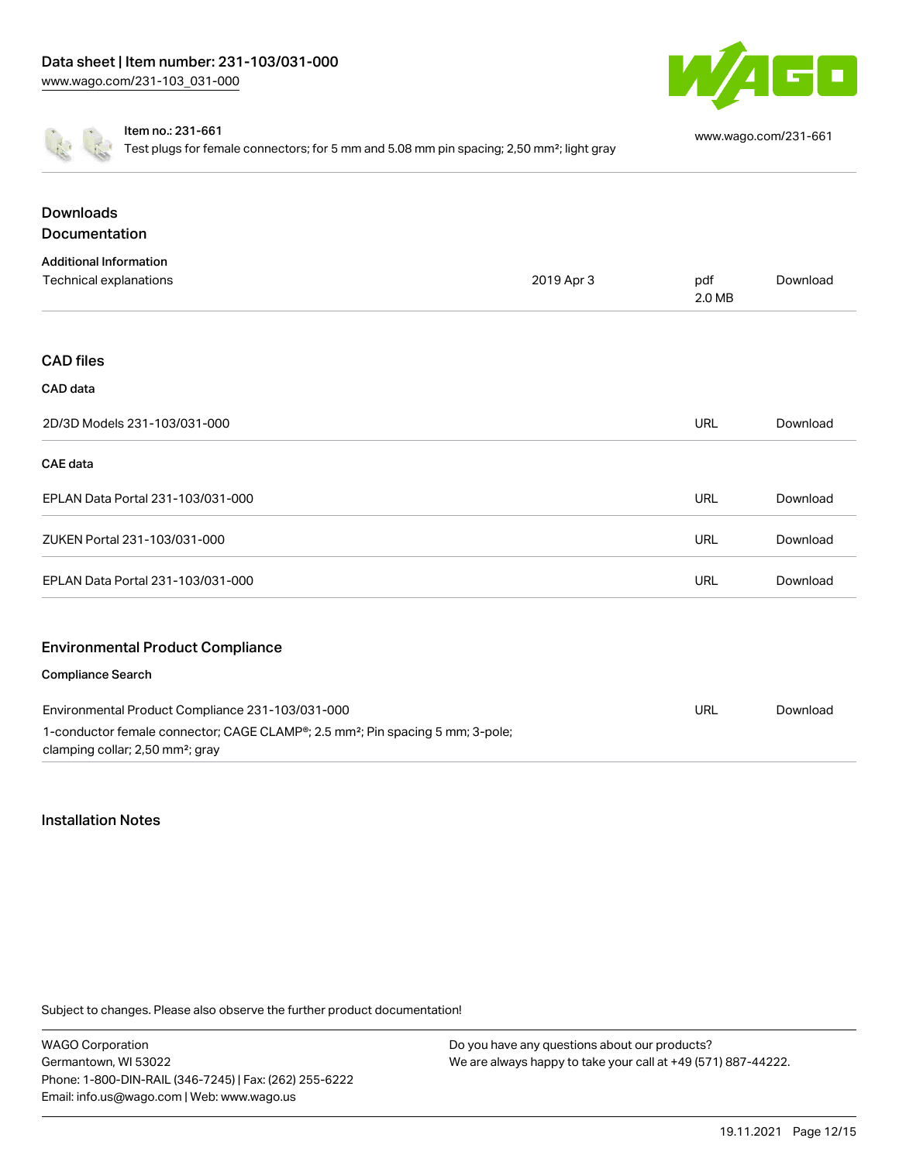

Item no.: 231-661

Test plugs for female connectors; for 5 mm and 5.08 mm pin spacing; 2,50 mm²; light gray

[www.wago.com/231-661](http://www.wago.com/231-661)

| <b>Downloads</b><br>Documentation                                                                                                          |            |            |          |
|--------------------------------------------------------------------------------------------------------------------------------------------|------------|------------|----------|
| <b>Additional Information</b><br><b>Technical explanations</b>                                                                             | 2019 Apr 3 | pdf        | Download |
|                                                                                                                                            |            | 2.0 MB     |          |
| <b>CAD files</b>                                                                                                                           |            |            |          |
| CAD data                                                                                                                                   |            |            |          |
| 2D/3D Models 231-103/031-000                                                                                                               |            | <b>URL</b> | Download |
| <b>CAE</b> data                                                                                                                            |            |            |          |
| EPLAN Data Portal 231-103/031-000                                                                                                          |            | <b>URL</b> | Download |
| ZUKEN Portal 231-103/031-000                                                                                                               |            | <b>URL</b> | Download |
| EPLAN Data Portal 231-103/031-000                                                                                                          |            | <b>URL</b> | Download |
|                                                                                                                                            |            |            |          |
| <b>Environmental Product Compliance</b>                                                                                                    |            |            |          |
| Compliance Search                                                                                                                          |            |            |          |
| Environmental Product Compliance 231-103/031-000                                                                                           |            | URL        | Download |
| 1-conductor female connector; CAGE CLAMP®; 2.5 mm <sup>2</sup> ; Pin spacing 5 mm; 3-pole;<br>clamping collar; 2,50 mm <sup>2</sup> ; gray |            |            |          |

#### Installation Notes

Subject to changes. Please also observe the further product documentation!

WAGO Corporation Germantown, WI 53022 Phone: 1-800-DIN-RAIL (346-7245) | Fax: (262) 255-6222 Email: info.us@wago.com | Web: www.wago.us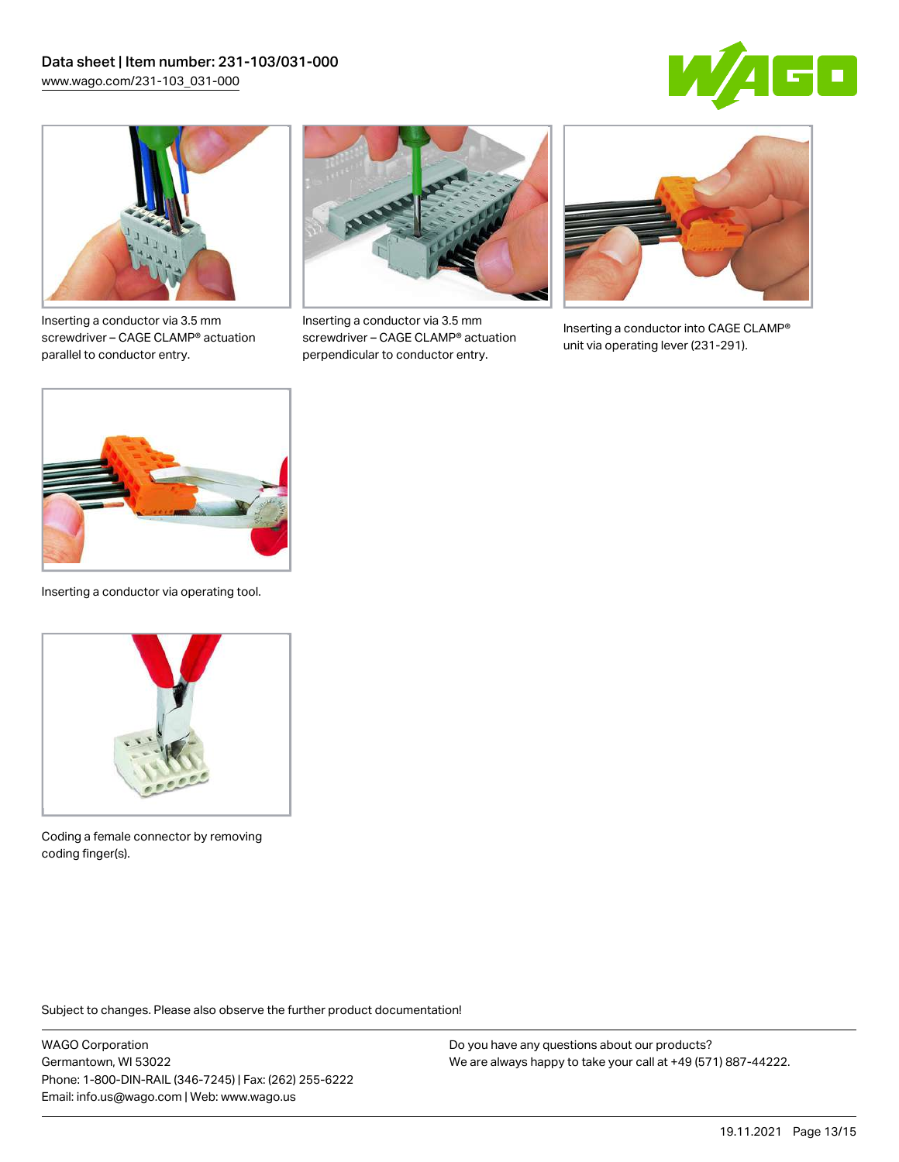



Inserting a conductor via 3.5 mm screwdriver – CAGE CLAMP® actuation parallel to conductor entry.



Inserting a conductor via 3.5 mm screwdriver – CAGE CLAMP® actuation perpendicular to conductor entry.



Inserting a conductor into CAGE CLAMP® unit via operating lever (231-291).



Inserting a conductor via operating tool.



Coding a female connector by removing coding finger(s).

Subject to changes. Please also observe the further product documentation!

WAGO Corporation Germantown, WI 53022 Phone: 1-800-DIN-RAIL (346-7245) | Fax: (262) 255-6222 Email: info.us@wago.com | Web: www.wago.us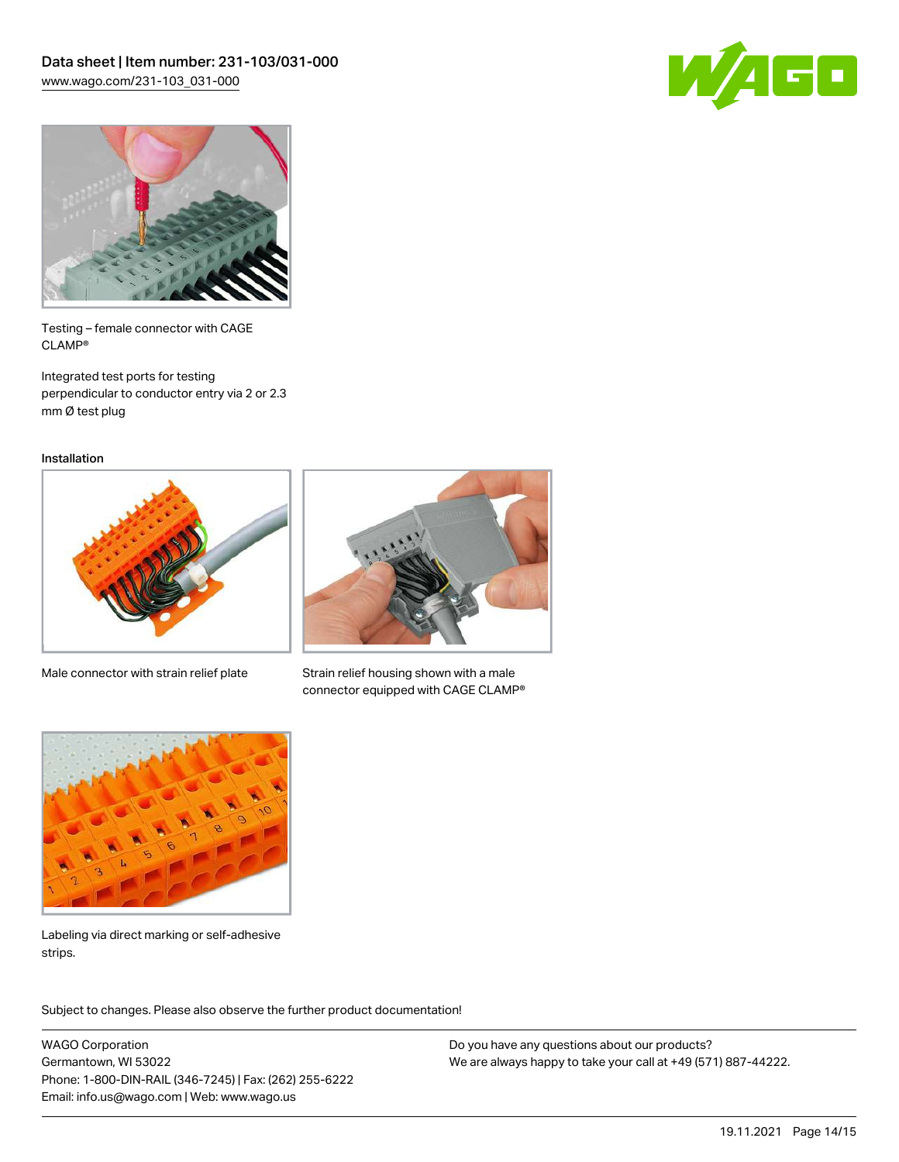



Testing – female connector with CAGE CLAMP®

Integrated test ports for testing perpendicular to conductor entry via 2 or 2.3 mm Ø test plug

Installation



Male connector with strain relief plate



Strain relief housing shown with a male connector equipped with CAGE CLAMP®



Labeling via direct marking or self-adhesive strips.

Subject to changes. Please also observe the further product documentation! Product family

WAGO Corporation Germantown, WI 53022 Phone: 1-800-DIN-RAIL (346-7245) | Fax: (262) 255-6222 Email: info.us@wago.com | Web: www.wago.us